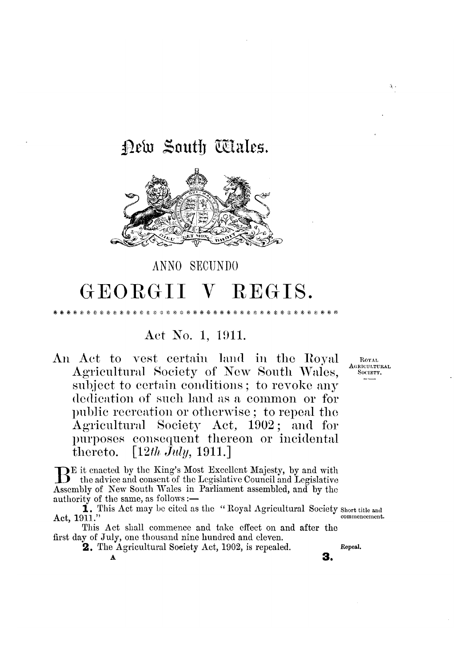## Dew South Wales.



# GEORGII V REGIS.

ANNO SECUNDO

### Act No. 1, 1911.

An Act to vest certain land in the Royal Agricultural Society of New South Wales, subject to certain conditions; to revoke any dedication of such land as a common or for public recreation or otherwise; to repeal the Agricultural Society Act, 1902; and for purposes consequent thereon or incidental  $\lceil 12th \text{July}, 1911. \rceil$ thereto.

BE it enacted by the King's Most Excellent Majesty, by and with the advice and consent of the Legislative Council and Legislative Assembly of New South Wales in Parliament assembled, and by the authority of the same, as follows:-

1. This Act may be cited as the "Royal Agricultural Society short title and commencement. Act, 1911."

This Act shall commence and take effect on and after the first day of July, one thousand nine hundred and eleven.

**2.** The Agricultural Society Act, 1902, is repealed.

\* \* \* \* \* \* \*

 $\mathbf{x}_t$ 

ROYAL AGRICULTURAL Society

á,

Repeal.

3.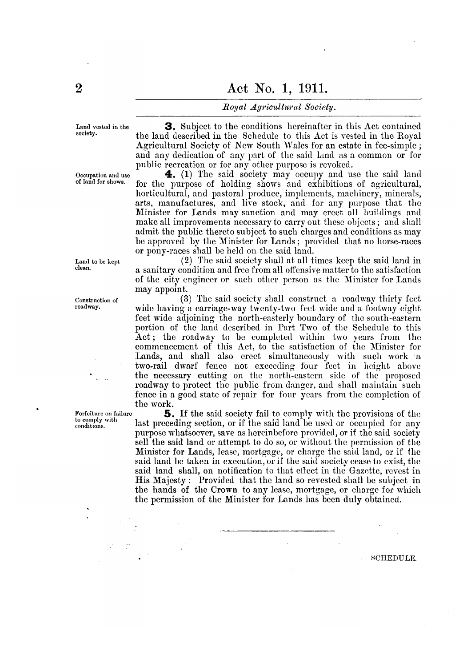#### Royal Agricultural Society.

Land vested in the society.

Occupation and use of land for shows.

Land to be kept clean.

Construction of roadway.

Forfeiture on failure to comply with conditions.

**3.** Subject to the conditions hereinafter in this Act contained the land described in the Schedule to this Act is vested in the Royal Agricultural Society of New South Wales for an estate in fee-simple; and any dedication of any part of the said land as a common or for public recreation or for any other purpose is revoked.

4. (1) The said society may occupy and use the said land for the purpose of holding shows and exhibitions of agricultural, horticultural, and pastoral produce, implements, machinery, minerals, arts, manufactures, and live stock, and for any purpose that the Minister for Lands may sanction and may erect all buildings and make all improvements necessary to carry out these objects; and shall admit the public thereto subject to such charges and conditions as may be approved by the Minister for Lands; provided that no horse-races or pony-races shall be held on the said land.

(2) The said society shall at all times keep the said land in a sanitary condition and free from all offensive matter to the satisfaction of the city engineer or such other person as the Minister for Lands may appoint.

(3) The said society shall construct a roadway thirty feet wide having a carriage-way twenty-two feet wide and a footway eight feet wide adjoining the north-easterly boundary of the south-eastern portion of the land described in Part Two of the Schedule to this Act; the roadway to be completed within two years from the commencement of this Act, to the satisfaction of the Minister for Lands, and shall also crect simultaneously with such work a two-rail dwarf fence not exceeding four feet in height above the necessary cutting on the north-eastern side of the proposed roadway to protect the public from danger, and shall maintain such fence in a good state of repair for four years from the completion of the work.

**5.** If the said society fail to comply with the provisions of the last preceding section, or if the said land be used or occupied for any purpose whatsoever, save as hereinbefore provided, or if the said society sell the said land or attempt to do so, or without the permission of the Minister for Lands, lease, mortgage, or charge the said land, or if the said land be taken in execution, or if the said society cease to exist, the said land shall, on notification to that effect in the Gazette, revest in His Majesty: Provided that the land so revested shall be subject in the hands of the Crown to any lease, mortgage, or charge for which the permission of the Minister for Lands has been duly obtained.

**SCHEDULE.**